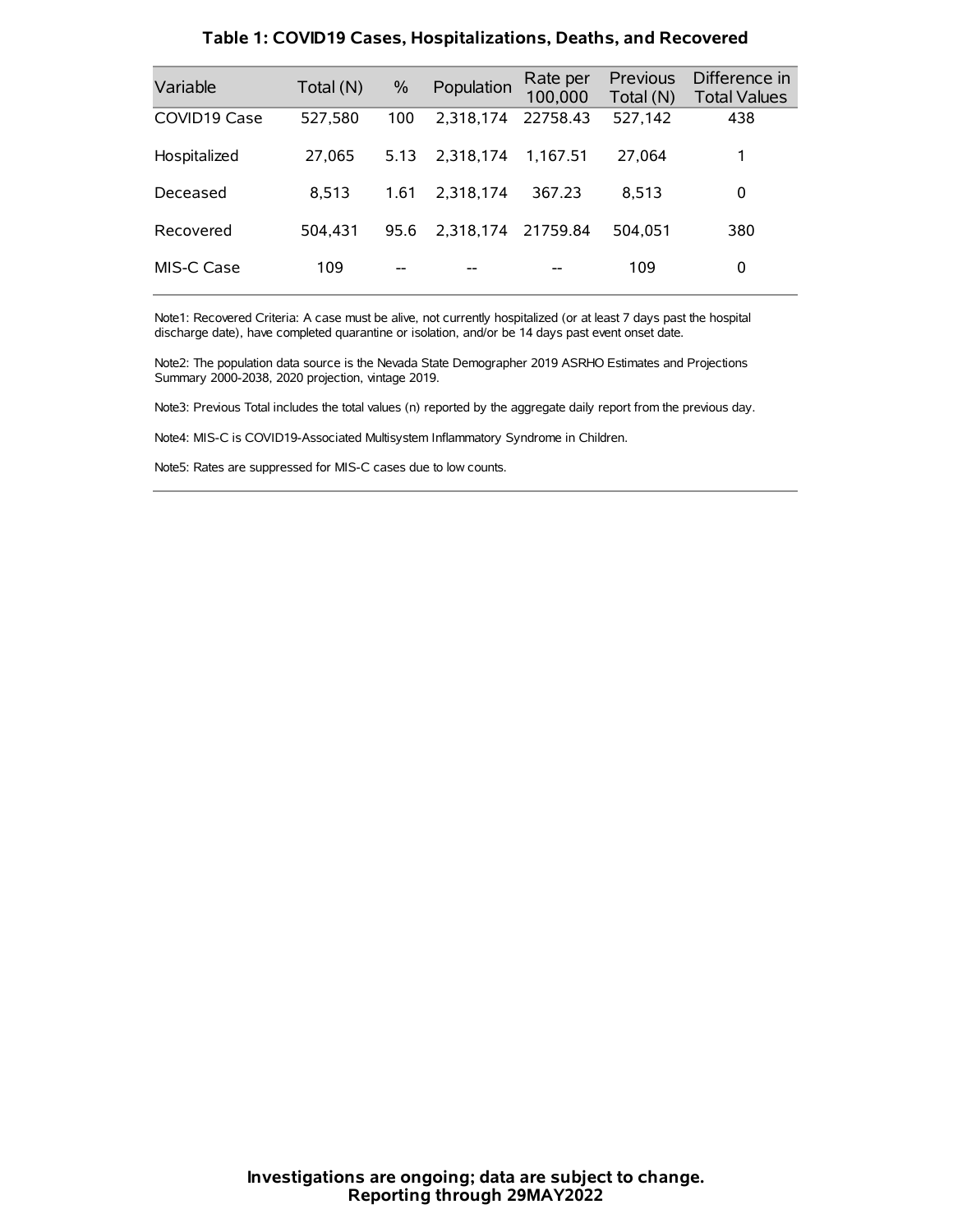| Variable     | Total (N) | $\%$ | Population | Rate per<br>100,000 | Previous<br>Total (N) | Difference in<br><b>Total Values</b> |
|--------------|-----------|------|------------|---------------------|-----------------------|--------------------------------------|
| COVID19 Case | 527,580   | 100  | 2.318.174  | 22758.43            | 527,142               | 438                                  |
| Hospitalized | 27,065    | 5.13 | 2.318.174  | 1.167.51            | 27,064                | 1                                    |
| Deceased     | 8.513     | 1.61 | 2.318.174  | 367.23              | 8.513                 | 0                                    |
| Recovered    | 504.431   | 95.6 | 2.318.174  | 21759.84            | 504.051               | 380                                  |
| MIS-C Case   | 109       | --   |            |                     | 109                   | 0                                    |

#### **Table 1: COVID19 Cases, Hospitalizations, Deaths, and Recovered**

Note1: Recovered Criteria: A case must be alive, not currently hospitalized (or at least 7 days past the hospital discharge date), have completed quarantine or isolation, and/or be 14 days past event onset date.

Note2: The population data source is the Nevada State Demographer 2019 ASRHO Estimates and Projections Summary 2000-2038, 2020 projection, vintage 2019.

Note3: Previous Total includes the total values (n) reported by the aggregate daily report from the previous day.

Note4: MIS-C is COVID19-Associated Multisystem Inflammatory Syndrome in Children.

Note5: Rates are suppressed for MIS-C cases due to low counts.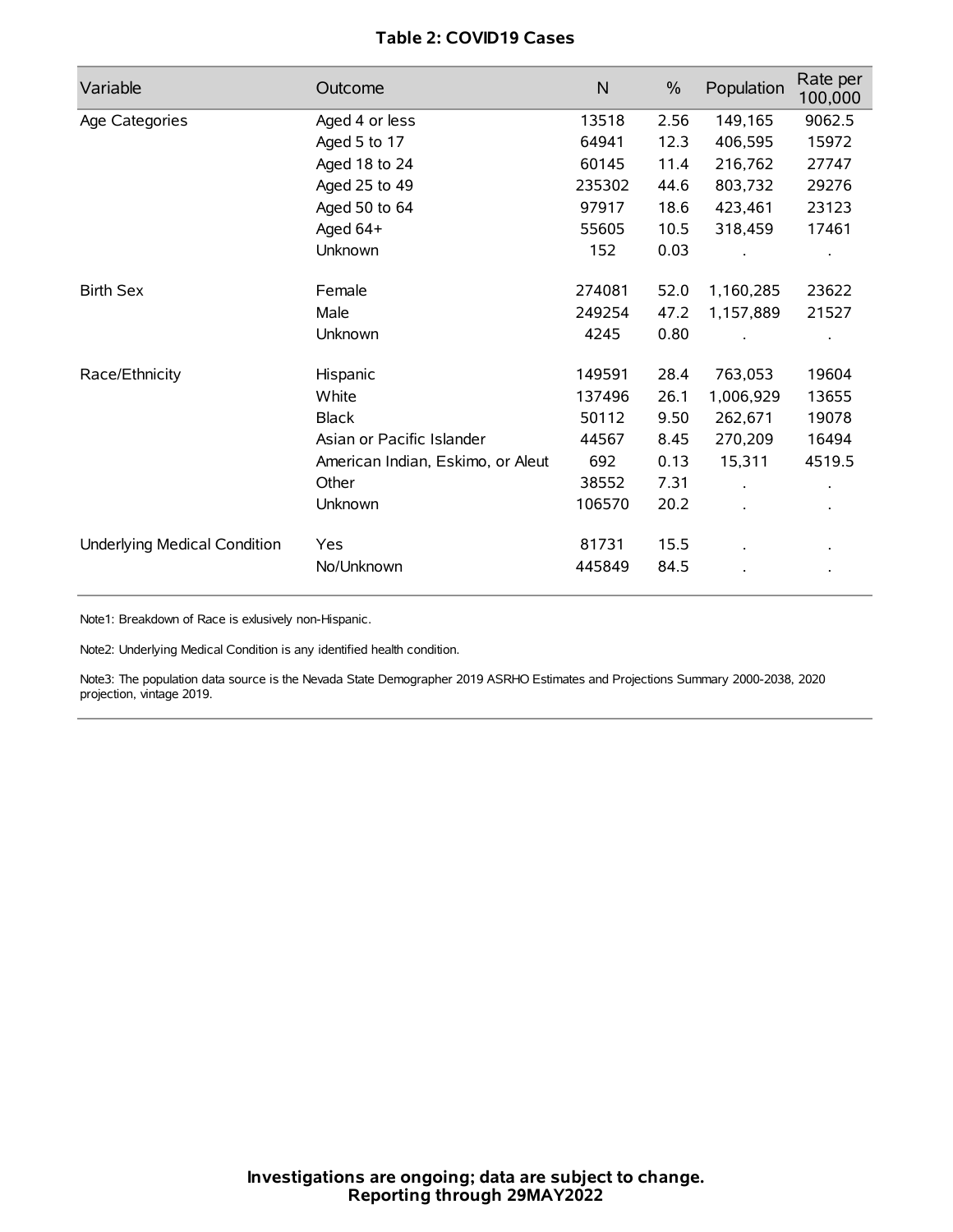# **Table 2: COVID19 Cases**

| Variable                     | Outcome                           | $\mathsf{N}$ | $\%$ | Population | Rate per<br>100,000 |
|------------------------------|-----------------------------------|--------------|------|------------|---------------------|
| Age Categories               | Aged 4 or less                    | 13518        | 2.56 | 149,165    | 9062.5              |
|                              | Aged 5 to 17                      | 64941        | 12.3 | 406,595    | 15972               |
|                              | Aged 18 to 24                     | 60145        | 11.4 | 216,762    | 27747               |
|                              | Aged 25 to 49                     | 235302       | 44.6 | 803,732    | 29276               |
|                              | Aged 50 to 64                     | 97917        | 18.6 | 423,461    | 23123               |
|                              | Aged 64+                          | 55605        | 10.5 | 318,459    | 17461               |
|                              | Unknown                           | 152          | 0.03 |            |                     |
| <b>Birth Sex</b>             | Female                            | 274081       | 52.0 | 1,160,285  | 23622               |
|                              | Male                              | 249254       | 47.2 | 1,157,889  | 21527               |
|                              | Unknown                           | 4245         | 0.80 |            |                     |
| Race/Ethnicity               | Hispanic                          | 149591       | 28.4 | 763,053    | 19604               |
|                              | White                             | 137496       | 26.1 | 1,006,929  | 13655               |
|                              | <b>Black</b>                      | 50112        | 9.50 | 262,671    | 19078               |
|                              | Asian or Pacific Islander         | 44567        | 8.45 | 270,209    | 16494               |
|                              | American Indian, Eskimo, or Aleut | 692          | 0.13 | 15,311     | 4519.5              |
|                              | Other                             | 38552        | 7.31 |            |                     |
|                              | Unknown                           | 106570       | 20.2 |            |                     |
| Underlying Medical Condition | Yes                               | 81731        | 15.5 |            |                     |
|                              | No/Unknown                        | 445849       | 84.5 |            |                     |

Note1: Breakdown of Race is exlusively non-Hispanic.

Note2: Underlying Medical Condition is any identified health condition.

Note3: The population data source is the Nevada State Demographer 2019 ASRHO Estimates and Projections Summary 2000-2038, 2020 projection, vintage 2019.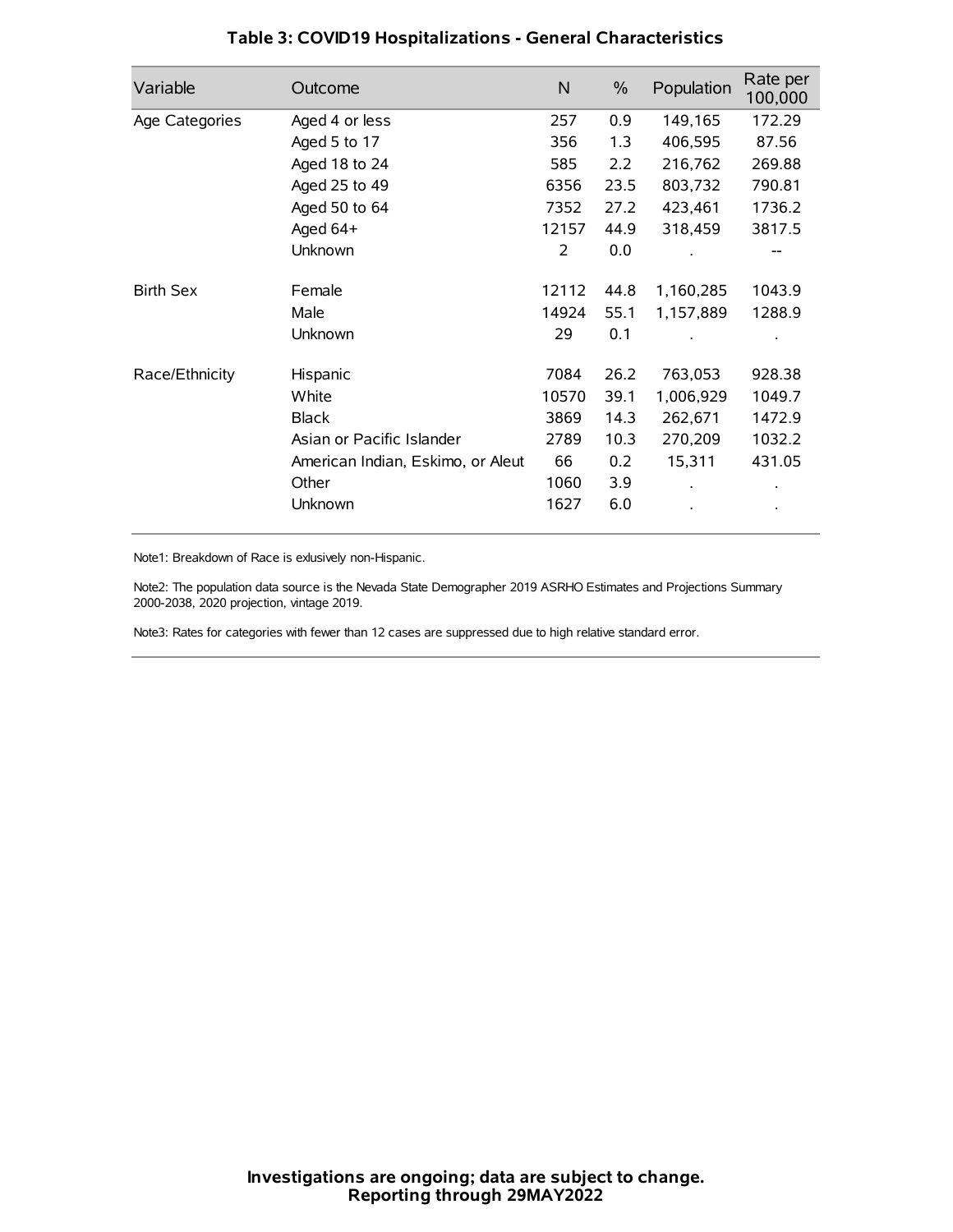| Variable         | Outcome                           | N     | $\%$ | Population | Rate per<br>100,000 |
|------------------|-----------------------------------|-------|------|------------|---------------------|
| Age Categories   | Aged 4 or less                    | 257   | 0.9  | 149,165    | 172.29              |
|                  | Aged 5 to 17                      | 356   | 1.3  | 406,595    | 87.56               |
|                  | Aged 18 to 24                     | 585   | 2.2  | 216,762    | 269.88              |
|                  | Aged 25 to 49                     | 6356  | 23.5 | 803,732    | 790.81              |
|                  | Aged 50 to 64                     | 7352  | 27.2 | 423,461    | 1736.2              |
|                  | Aged 64+                          | 12157 | 44.9 | 318,459    | 3817.5              |
|                  | Unknown                           | 2     | 0.0  |            |                     |
| <b>Birth Sex</b> | Female                            | 12112 | 44.8 | 1,160,285  | 1043.9              |
|                  | Male                              | 14924 | 55.1 | 1,157,889  | 1288.9              |
|                  | Unknown                           | 29    | 0.1  |            |                     |
| Race/Ethnicity   | Hispanic                          | 7084  | 26.2 | 763,053    | 928.38              |
|                  | White                             | 10570 | 39.1 | 1,006,929  | 1049.7              |
|                  | <b>Black</b>                      | 3869  | 14.3 | 262,671    | 1472.9              |
|                  | Asian or Pacific Islander         | 2789  | 10.3 | 270,209    | 1032.2              |
|                  | American Indian, Eskimo, or Aleut | 66    | 0.2  | 15,311     | 431.05              |
|                  | Other                             | 1060  | 3.9  |            |                     |
|                  | Unknown                           | 1627  | 6.0  |            |                     |

# **Table 3: COVID19 Hospitalizations - General Characteristics**

Note1: Breakdown of Race is exlusively non-Hispanic.

Note2: The population data source is the Nevada State Demographer 2019 ASRHO Estimates and Projections Summary 2000-2038, 2020 projection, vintage 2019.

Note3: Rates for categories with fewer than 12 cases are suppressed due to high relative standard error.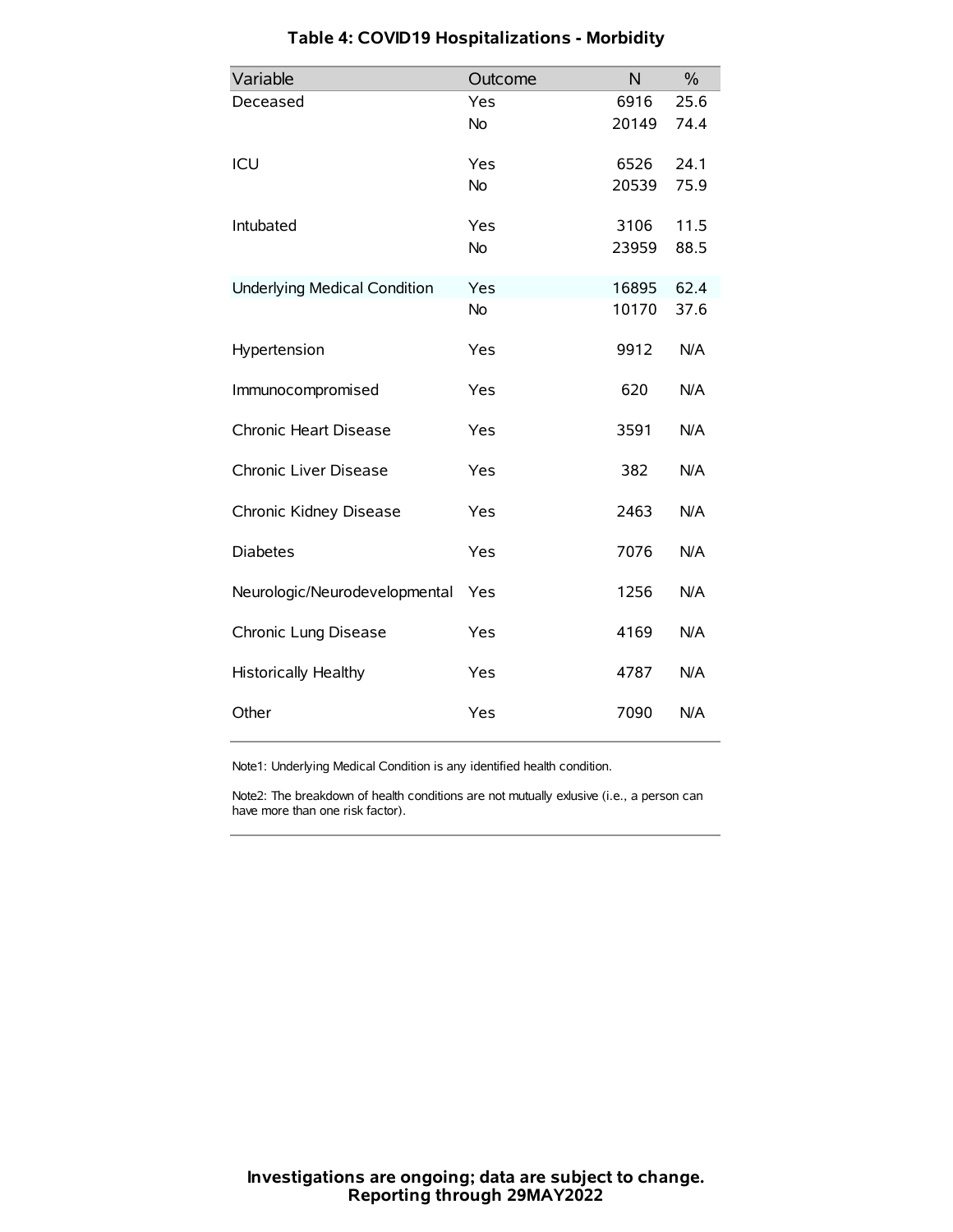| Variable                            | Outcome   | N     | $\frac{0}{0}$ |
|-------------------------------------|-----------|-------|---------------|
| Deceased                            | Yes       | 6916  | 25.6          |
|                                     | <b>No</b> | 20149 | 74.4          |
| ICU                                 | Yes       | 6526  | 24.1          |
|                                     | <b>No</b> | 20539 | 75.9          |
| Intubated                           | Yes       | 3106  | 11.5          |
|                                     | <b>No</b> | 23959 | 88.5          |
| <b>Underlying Medical Condition</b> | Yes       | 16895 | 62.4          |
|                                     | No        | 10170 | 37.6          |
| Hypertension                        | Yes       | 9912  | N/A           |
| Immunocompromised                   | Yes       | 620   | N/A           |
| Chronic Heart Disease               | Yes       | 3591  | N/A           |
| Chronic Liver Disease               | Yes       | 382   | N/A           |
| Chronic Kidney Disease              | Yes       | 2463  | N/A           |
| <b>Diabetes</b>                     | Yes       | 7076  | N/A           |
| Neurologic/Neurodevelopmental       | Yes       | 1256  | N/A           |
| Chronic Lung Disease                | Yes       | 4169  | N/A           |
| Historically Healthy                | Yes       | 4787  | N/A           |
| Other                               | Yes       | 7090  | N/A           |

# **Table 4: COVID19 Hospitalizations - Morbidity**

Note1: Underlying Medical Condition is any identified health condition.

Note2: The breakdown of health conditions are not mutually exlusive (i.e., a person can have more than one risk factor).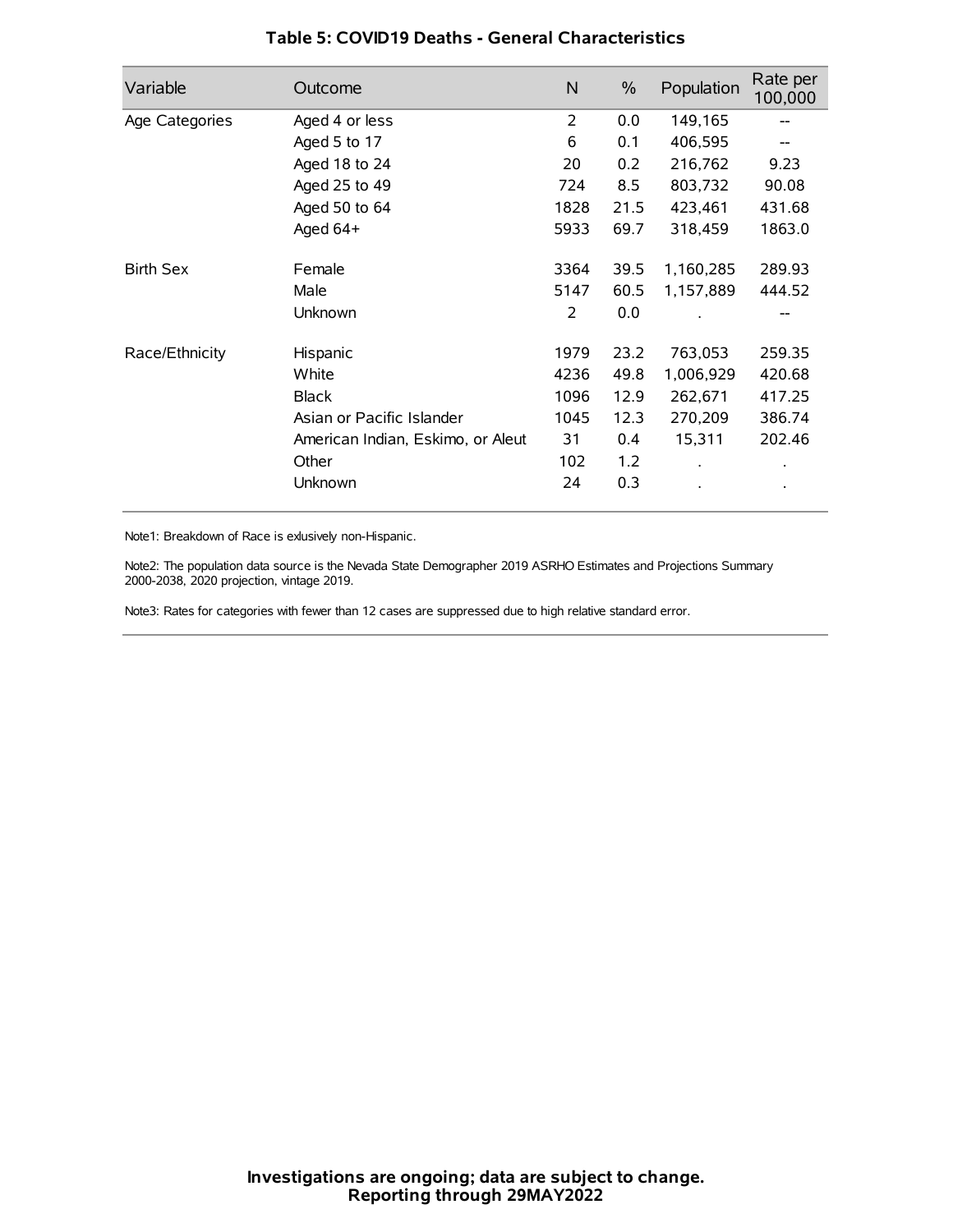| Variable         | Outcome                           | N    | $\frac{0}{0}$ | Population | Rate per<br>100,000 |
|------------------|-----------------------------------|------|---------------|------------|---------------------|
| Age Categories   | Aged 4 or less                    | 2    | 0.0           | 149,165    |                     |
|                  | Aged 5 to 17                      | 6    | 0.1           | 406,595    |                     |
|                  | Aged 18 to 24                     | 20   | 0.2           | 216,762    | 9.23                |
|                  | Aged 25 to 49                     | 724  | 8.5           | 803,732    | 90.08               |
|                  | Aged 50 to 64                     | 1828 | 21.5          | 423,461    | 431.68              |
|                  | Aged $64+$                        | 5933 | 69.7          | 318,459    | 1863.0              |
| <b>Birth Sex</b> | Female                            | 3364 | 39.5          | 1,160,285  | 289.93              |
|                  | Male                              | 5147 | 60.5          | 1,157,889  | 444.52              |
|                  | Unknown                           | 2    | 0.0           |            | --                  |
| Race/Ethnicity   | Hispanic                          | 1979 | 23.2          | 763,053    | 259.35              |
|                  | White                             | 4236 | 49.8          | 1,006,929  | 420.68              |
|                  | <b>Black</b>                      | 1096 | 12.9          | 262,671    | 417.25              |
|                  | Asian or Pacific Islander         | 1045 | 12.3          | 270,209    | 386.74              |
|                  | American Indian, Eskimo, or Aleut | 31   | 0.4           | 15,311     | 202.46              |
|                  | Other                             | 102  | 1.2           |            |                     |
|                  | Unknown                           | 24   | 0.3           |            |                     |

## **Table 5: COVID19 Deaths - General Characteristics**

Note1: Breakdown of Race is exlusively non-Hispanic.

Note2: The population data source is the Nevada State Demographer 2019 ASRHO Estimates and Projections Summary 2000-2038, 2020 projection, vintage 2019.

Note3: Rates for categories with fewer than 12 cases are suppressed due to high relative standard error.